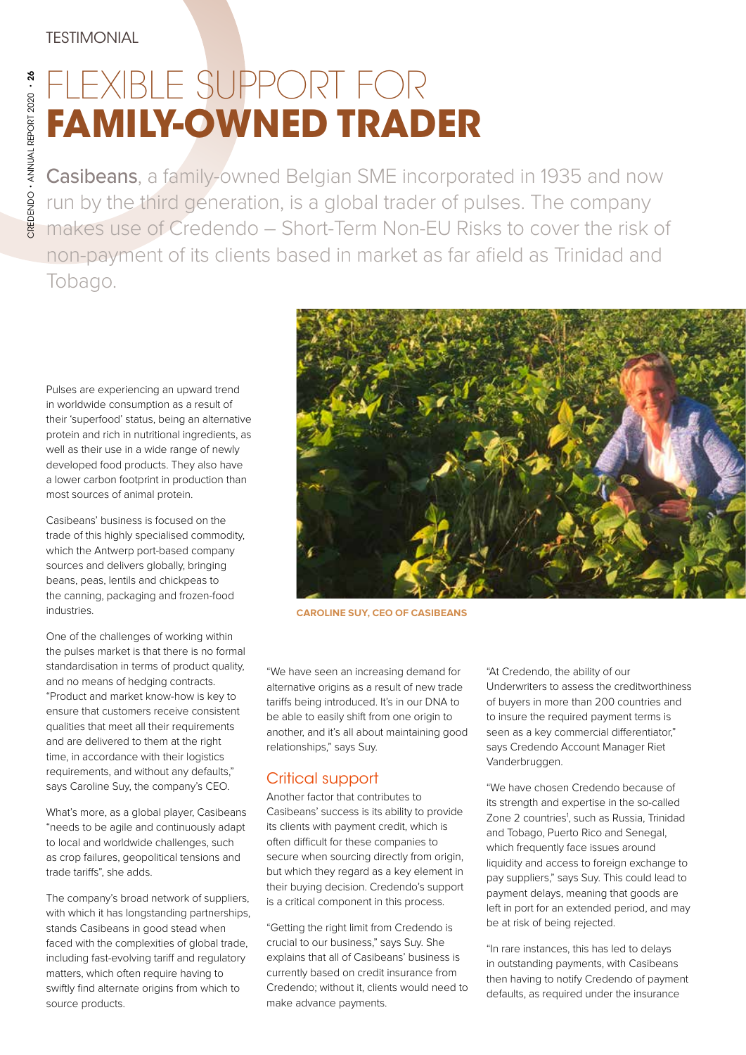## FLEXIBLE SUPPORT FOR **FAMILY-OWNED TRADER**

Casibeans, a family-owned Belgian SME incorporated in 1935 and now run by the third generation, is a global trader of pulses. The company makes use of Credendo – Short-Term Non-EU Risks to cover the risk of non-payment of its clients based in market as far afield as Trinidad and Tobago.

Pulses are experiencing an upward trend in worldwide consumption as a result of their 'superfood' status, being an alternative protein and rich in nutritional ingredients, as well as their use in a wide range of newly developed food products. They also have a lower carbon footprint in production than most sources of animal protein.

Casibeans' business is focused on the trade of this highly specialised commodity, which the Antwerp port-based company sources and delivers globally, bringing beans, peas, lentils and chickpeas to the canning, packaging and frozen-food industries.

One of the challenges of working within the pulses market is that there is no formal standardisation in terms of product quality, and no means of hedging contracts. "Product and market know-how is key to ensure that customers receive consistent qualities that meet all their requirements and are delivered to them at the right time, in accordance with their logistics requirements, and without any defaults," says Caroline Suy, the company's CEO.

What's more, as a global player, Casibeans "needs to be agile and continuously adapt to local and worldwide challenges, such as crop failures, geopolitical tensions and trade tariffs", she adds.

The company's broad network of suppliers, with which it has longstanding partnerships, stands Casibeans in good stead when faced with the complexities of global trade, including fast-evolving tariff and regulatory matters, which often require having to swiftly find alternate origins from which to source products.



**CAROLINE SUY, CEO OF CASIBEANS**

"We have seen an increasing demand for alternative origins as a result of new trade tariffs being introduced. It's in our DNA to be able to easily shift from one origin to another, and it's all about maintaining good relationships," says Suy.

## Critical support

Another factor that contributes to Casibeans' success is its ability to provide its clients with payment credit, which is often difficult for these companies to secure when sourcing directly from origin, but which they regard as a key element in their buying decision. Credendo's support is a critical component in this process.

"Getting the right limit from Credendo is crucial to our business," says Suy. She explains that all of Casibeans' business is currently based on credit insurance from Credendo; without it, clients would need to make advance payments.

"At Credendo, the ability of our Underwriters to assess the creditworthiness of buyers in more than 200 countries and to insure the required payment terms is seen as a key commercial differentiator," says Credendo Account Manager Riet Vanderbruggen.

"We have chosen Credendo because of its strength and expertise in the so-called Zone 2 countries<sup>1</sup>, such as Russia, Trinidad and Tobago, Puerto Rico and Senegal, which frequently face issues around liquidity and access to foreign exchange to pay suppliers," says Suy. This could lead to payment delays, meaning that goods are left in port for an extended period, and may be at risk of being rejected.

"In rare instances, this has led to delays in outstanding payments, with Casibeans then having to notify Credendo of payment defaults, as required under the insurance